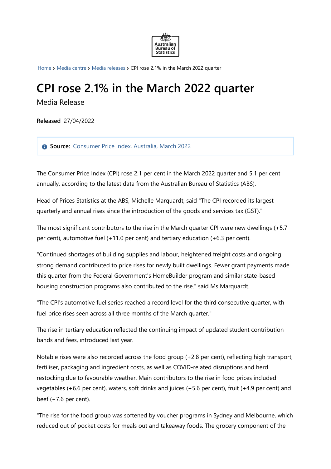

[Home](https://www.abs.gov.au/) > [Media](https://www.abs.gov.au/media-centre) centre > Media [releases](https://www.abs.gov.au/media-centre/media-releases) > CPI rose 2.1% in the March 2022 quarter

## **CPI rose 2.1% in the March 2022 quarter**

Media Release

**Released** 27/04/2022

**Source:** [Consumer](https://www.abs.gov.au/statistics/economy/price-indexes-and-inflation/consumer-price-index-australia/mar-2022) Price Index, Australia, March 2022

The Consumer Price Index (CPI) rose 2.1 per cent in the March 2022 quarter and 5.1 per cent annually, according to the latest data from the Australian Bureau of Statistics (ABS).

Head of Prices Statistics at the ABS, Michelle Marquardt, said "The CPI recorded its largest quarterly and annual rises since the introduction of the goods and services tax (GST)."

The most significant contributors to the rise in the March quarter CPI were new dwellings (+5.7 per cent), automotive fuel (+11.0 per cent) and tertiary education (+6.3 per cent).

"Continued shortages of building supplies and labour, heightened freight costs and ongoing strong demand contributed to price rises for newly built dwellings. Fewer grant payments made this quarter from the Federal Government's HomeBuilder program and similar state-based housing construction programs also contributed to the rise." said Ms Marquardt.

"The CPI's automotive fuel series reached a record level for the third consecutive quarter, with fuel price rises seen across all three months of the March quarter."

The rise in tertiary education reflected the continuing impact of updated student contribution bands and fees, introduced last year.

Notable rises were also recorded across the food group (+2.8 per cent), reflecting high transport, fertiliser, packaging and ingredient costs, as well as COVID-related disruptions and herd restocking due to favourable weather. Main contributors to the rise in food prices included vegetables (+6.6 per cent), waters, soft drinks and juices (+5.6 per cent), fruit (+4.9 per cent) and beef (+7.6 per cent).

"The rise for the food group was softened by voucher programs in Sydney and Melbourne, which reduced out of pocket costs for meals out and takeaway foods. The grocery component of the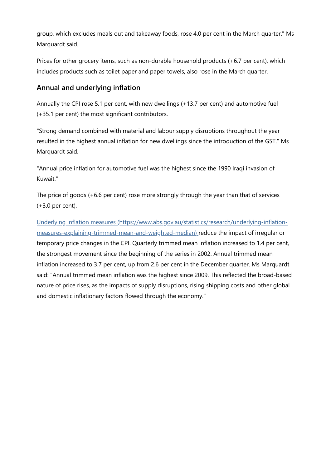group, which excludes meals out and takeaway foods, rose 4.0 per cent in the March quarter." Ms Marquardt said.

Prices for other grocery items, such as non-durable household products (+6.7 per cent), which includes products such as toilet paper and paper towels, also rose in the March quarter.

## **Annual and underlying inflation**

Annually the CPI rose 5.1 per cent, with new dwellings (+13.7 per cent) and automotive fuel (+35.1 per cent) the most significant contributors.

"Strong demand combined with material and labour supply disruptions throughout the year resulted in the highest annual inflation for new dwellings since the introduction of the GST." Ms Marquardt said.

"Annual price inflation for automotive fuel was the highest since the 1990 Iraqi invasion of Kuwait."

The price of goods (+6.6 per cent) rose more strongly through the year than that of services (+3.0 per cent).

Underlying inflation measures [\(https://www.abs.gov.au/statistics/research/underlying-inflation](https://www.abs.gov.au/statistics/research/underlying-inflation-measures-explaining-trimmed-mean-and-weighted-median)measures-explaining-trimmed-mean-and-weighted-median) reduce the impact of irregular or temporary price changes in the CPI. Quarterly trimmed mean inflation increased to 1.4 per cent, the strongest movement since the beginning of the series in 2002. Annual trimmed mean inflation increased to 3.7 per cent, up from 2.6 per cent in the December quarter. Ms Marquardt said: "Annual trimmed mean inflation was the highest since 2009. This reflected the broad-based nature of price rises, as the impacts of supply disruptions, rising shipping costs and other global and domestic inflationary factors flowed through the economy."